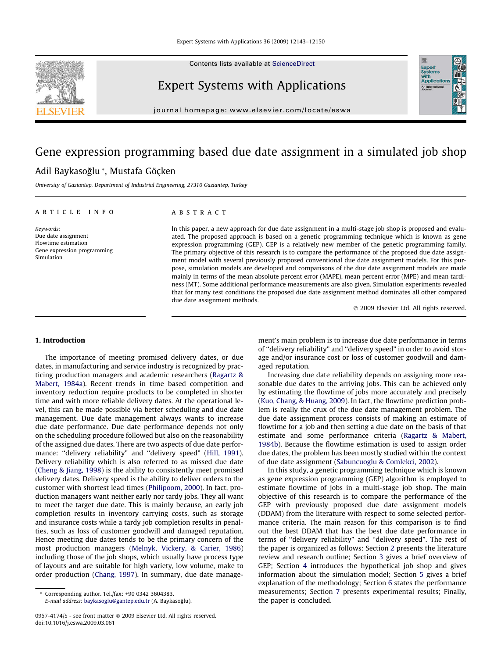Contents lists available at [ScienceDirect](http://www.sciencedirect.com/science/journal/09574174)



## Expert Systems with Applications

journal homepage: [www.elsevier.com/locate/eswa](http://www.elsevier.com/locate/eswa)

## Gene expression programming based due date assignment in a simulated job shop Adil Baykasoğlu \*, Mustafa Göçken

University of Gaziantep, Department of Industrial Engineering, 27310 Gaziantep, Turkey

#### article info

Keywords: Due date assignment Flowtime estimation Gene expression programming Simulation

### **ABSTRACT**

In this paper, a new approach for due date assignment in a multi-stage job shop is proposed and evaluated. The proposed approach is based on a genetic programming technique which is known as gene expression programming (GEP). GEP is a relatively new member of the genetic programming family. The primary objective of this research is to compare the performance of the proposed due date assignment model with several previously proposed conventional due date assignment models. For this purpose, simulation models are developed and comparisons of the due date assignment models are made mainly in terms of the mean absolute percent error (MAPE), mean percent error (MPE) and mean tardiness (MT). Some additional performance measurements are also given. Simulation experiments revealed that for many test conditions the proposed due date assignment method dominates all other compared due date assignment methods.

- 2009 Elsevier Ltd. All rights reserved.

Expert<br>Systems<br>with<br>Applical

## 1. Introduction

The importance of meeting promised delivery dates, or due dates, in manufacturing and service industry is recognized by practicing production managers and academic researchers [\(Ragartz &](#page--1-0) [Mabert, 1984a\)](#page--1-0). Recent trends in time based competition and inventory reduction require products to be completed in shorter time and with more reliable delivery dates. At the operational level, this can be made possible via better scheduling and due date management. Due date management always wants to increase due date performance. Due date performance depends not only on the scheduling procedure followed but also on the reasonability of the assigned due dates. There are two aspects of due date perfor-mance: "delivery reliability" and "delivery speed" ([Hill, 1991\)](#page--1-0). Delivery reliability which is also referred to as missed due date ([Cheng & Jiang, 1998](#page--1-0)) is the ability to consistently meet promised delivery dates. Delivery speed is the ability to deliver orders to the customer with shortest lead times [\(Philipoom, 2000](#page--1-0)). In fact, production managers want neither early nor tardy jobs. They all want to meet the target due date. This is mainly because, an early job completion results in inventory carrying costs, such as storage and insurance costs while a tardy job completion results in penalties, such as loss of customer goodwill and damaged reputation. Hence meeting due dates tends to be the primary concern of the most production managers [\(Melnyk, Vickery, & Carier, 1986\)](#page--1-0) including those of the job shops, which usually have process type of layouts and are suitable for high variety, low volume, make to order production [\(Chang, 1997](#page--1-0)). In summary, due date management's main problem is to increase due date performance in terms of ''delivery reliability" and ''delivery speed" in order to avoid storage and/or insurance cost or loss of customer goodwill and damaged reputation.

Increasing due date reliability depends on assigning more reasonable due dates to the arriving jobs. This can be achieved only by estimating the flowtime of jobs more accurately and precisely ([Kuo, Chang, & Huang, 2009](#page--1-0)). In fact, the flowtime prediction problem is really the crux of the due date management problem. The due date assignment process consists of making an estimate of flowtime for a job and then setting a due date on the basis of that estimate and some performance criteria ([Ragartz & Mabert,](#page--1-0) [1984b](#page--1-0)). Because the flowtime estimation is used to assign order due dates, the problem has been mostly studied within the context of due date assignment [\(Sabuncuoglu & Comlekci, 2002\)](#page--1-0).

In this study, a genetic programming technique which is known as gene expression programming (GEP) algorithm is employed to estimate flowtime of jobs in a multi-stage job shop. The main objective of this research is to compare the performance of the GEP with previously proposed due date assignment models (DDAM) from the literature with respect to some selected performance criteria. The main reason for this comparison is to find out the best DDAM that has the best due date performance in terms of ''delivery reliability" and ''delivery speed". The rest of the paper is organized as follows: Section [2](#page-1-0) presents the literature review and research outline; Section [3](#page--1-0) gives a brief overview of GEP; Section [4](#page--1-0) introduces the hypothetical job shop and gives information about the simulation model; Section [5](#page--1-0) gives a brief explanation of the methodology; Section [6](#page--1-0) states the performance measurements; Section [7](#page--1-0) presents experimental results; Finally, the paper is concluded.

<sup>\*</sup> Corresponding author. Tel./fax: +90 0342 3604383.

E-mail address: [baykasoglu@gantep.edu.tr](mailto:baykasoglu@gantep.edu.tr) (A. Baykasoğlu).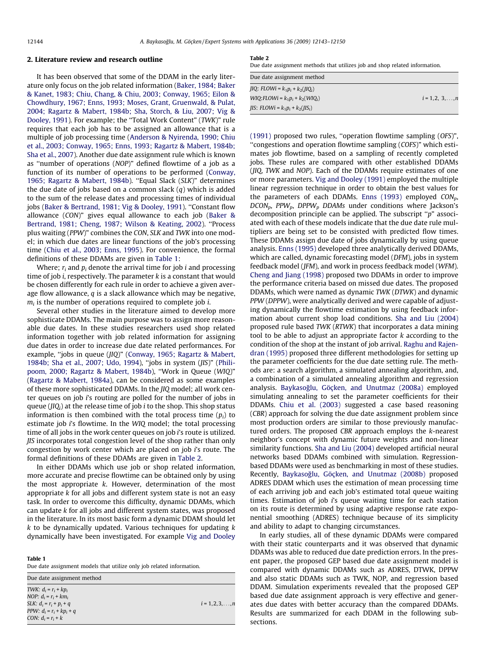### <span id="page-1-0"></span>2. Literature review and research outline

It has been observed that some of the DDAM in the early liter-ature only focus on the job related information [\(Baker, 1984; Baker](#page--1-0) [& Kanet, 1983; Chiu, Chang, & Chiu, 2003; Conway, 1965; Eilon &](#page--1-0) [Chowdhury, 1967; Enns, 1993; Moses, Grant, Gruenwald, & Pulat,](#page--1-0) [2004; Ragartz & Mabert, 1984b; Sha, Storch, & Liu, 2007; Vig &](#page--1-0) [Dooley, 1991](#page--1-0)). For example; the ''Total Work Content" (TWK)" rule requires that each job has to be assigned an allowance that is a multiple of job processing time ([Anderson & Nyirenda, 1990; Chiu](#page--1-0) [et al., 2003; Conway, 1965; Enns, 1993; Ragartz & Mabert, 1984b;](#page--1-0) [Sha et al., 2007\)](#page--1-0). Another due date assignment rule which is known as ''number of operations (NOP)" defined flowtime of a job as a function of its number of operations to be performed ([Conway,](#page--1-0) [1965; Ragartz & Mabert, 1984b\)](#page--1-0). ''Equal Slack (SLK)" determines the due date of jobs based on a common slack  $(q)$  which is added to the sum of the release dates and processing times of individual jobs ([Baker & Bertrand, 1981; Vig & Dooley, 1991\)](#page--1-0). ''Constant flow allowance (CON)" gives equal allowance to each job [\(Baker &](#page--1-0) [Bertrand, 1981; Cheng, 1987; Wilson & Keating, 2002](#page--1-0)). ''Process plus waiting (PPW)" combines the CON, SLK and TWK into one model; in which due dates are linear functions of the job's processing time [\(Chiu et al., 2003; Enns, 1995](#page--1-0)). For convenience, the formal definitions of these DDAMs are given in Table 1:

Where;  $r_i$  and  $p_i$  denote the arrival time for job *i* and processing time of job *i*, respectively. The parameter  $k$  is a constant that would be chosen differently for each rule in order to achieve a given average flow allowance,  $q$  is a slack allowance which may be negative,  $m_i$  is the number of operations required to complete job *i*.

Several other studies in the literature aimed to develop more sophisticate DDAMs. The main purpose was to assign more reasonable due dates. In these studies researchers used shop related information together with job related information for assigning due dates in order to increase due date related performances. For example, ''jobs in queue (JIQ)" ([Conway, 1965; Ragartz & Mabert,](#page--1-0) [1984b; Sha et al., 2007; Udo, 1994\)](#page--1-0), ''jobs in system (JIS)" ([Phili](#page--1-0)[poom, 2000; Ragartz & Mabert, 1984b\)](#page--1-0), ''Work in Queue (WIQ)" ([Ragartz & Mabert, 1984a](#page--1-0)), can be considered as some examples of these more sophisticated DDAMs. In the JIQ model; all work center queues on job i's routing are polled for the number of jobs in queue ( $JIQ<sub>i</sub>$ ) at the release time of job *i* to the shop. This shop status information is then combined with the total process time  $(p_i)$  to estimate job i's flowtime. In the WIQ model; the total processing time of all jobs in the work center queues on job *i*'s route is utilized. JIS incorporates total congestion level of the shop rather than only congestion by work center which are placed on job i's route. The formal definitions of these DDAMs are given in Table 2.

In either DDAMs which use job or shop related information, more accurate and precise flowtime can be obtained only by using the most appropriate k. However, determination of the most appropriate  $k$  for all jobs and different system state is not an easy task. In order to overcome this difficulty, dynamic DDAMs, which can update k for all jobs and different system states, was proposed in the literature. In its most basic form a dynamic DDAM should let  $k$  to be dynamically updated. Various techniques for updating  $k$ dynamically have been investigated. For example Vig and Dooley

#### Table 1

Due date assignment models that utilize only job related information.

| Due date assignment method                                                                                                              |                          |
|-----------------------------------------------------------------------------------------------------------------------------------------|--------------------------|
| TWK: $d_i = r_i + kp_i$<br>NOP: $d_i = r_i + km_i$<br>SLK: $d_i = r_i + p_i + q$<br>PPW: $d_i = r_i + kp_i + q$<br>CON: $d_i = r_i + k$ | $i = 1, 2, 3, \ldots, n$ |

#### Table 2

Due date assignment methods that utilizes job and shop related information.

| Due date assignment method                          |                          |
|-----------------------------------------------------|--------------------------|
| $ IQ: FLOWi = k_1p_i + k_2(IIQ_i) $                 |                          |
| $WIO: FLOWi = k_1p_i + k_2(WIO_i)$                  | $i = 1, 2, 3, \ldots, n$ |
| <i>IIS</i> : <i>FLOWi</i> = $k_1 p_i + k_2 (JIS_i)$ |                          |

(1991) proposed two rules, ''operation flowtime sampling (OFS)", ''congestions and operation flowtime sampling (COFS)" which estimates job flowtime, based on a sampling of recently completed jobs. These rules are compared with other established DDAMs (JIQ, TWK and NOP). Each of the DDAMs require estimates of one or more parameters. Vig and Dooley (1991) employed the multiple linear regression technique in order to obtain the best values for the parameters of each DDAMs. [Enns \(1993\)](#page--1-0) employed  $CON<sub>n</sub>$ ,  $DCON_p$ , PPW<sub>p</sub>, DPPW<sub>p</sub> DDAMs under conditions where Jackson's decomposition principle can be applied. The subscript ''p" associated with each of these models indicate that the due date rule multipliers are being set to be consisted with predicted flow times. These DDAMs assign due date of jobs dynamically by using queue analysis. [Enns \(1995\)](#page--1-0) developed three analytically derived DDAMs, which are called, dynamic forecasting model (DFM), jobs in system feedback model (JFM), and work in process feedback model (WFM). [Cheng and Jiang \(1998\)](#page--1-0) proposed two DDAMs in order to improve the performance criteria based on missed due dates. The proposed DDAMs, which were named as dynamic TWK (DTWK) and dynamic PPW (DPPW), were analytically derived and were capable of adjusting dynamically the flowtime estimation by using feedback information about current shop load conditions. [Sha and Liu \(2004\)](#page--1-0) proposed rule based TWK (RTWK) that incorporates a data mining tool to be able to adjust an appropriate factor  $k$  according to the condition of the shop at the instant of job arrival. [Raghu and Rajen](#page--1-0)[dran \(1995\)](#page--1-0) proposed three different methodologies for setting up the parameter coefficients for the due date setting rule. The methods are: a search algorithm, a simulated annealing algorithm, and, a combination of a simulated annealing algorithm and regression analysis. Baykasoğlu, Göçken, and Unutmaz (2008a) employed simulating annealing to set the parameter coefficients for their DDAMs. [Chiu et al. \(2003\)](#page--1-0) suggested a case based reasoning (CBR) approach for solving the due date assignment problem since most production orders are similar to those previously manufactured orders. The proposed CBR approach employs the k-nearest neighbor's concept with dynamic future weights and non-linear similarity functions. [Sha and Liu \(2004\)](#page--1-0) developed artificial neural networks based DDAMs combined with simulation. Regressionbased DDAMs were used as benchmarking in most of these studies. Recently, Baykasoğlu, Göçken, and Unutmaz (2008b) proposed ADRES DDAM which uses the estimation of mean processing time of each arriving job and each job's estimated total queue waiting times. Estimation of job i's queue waiting time for each station on its route is determined by using adaptive response rate exponential smoothing (ADRES) technique because of its simplicity and ability to adapt to changing circumstances.

In early studies, all of these dynamic DDAMs were compared with their static counterparts and it was observed that dynamic DDAMs was able to reduced due date prediction errors. In the present paper, the proposed GEP based due date assignment model is compared with dynamic DDAMs such as ADRES, DTWK, DPPW and also static DDAMs such as TWK, NOP, and regression based DDAM. Simulation experiments revealed that the proposed GEP based due date assignment approach is very effective and generates due dates with better accuracy than the compared DDAMs. Results are summarized for each DDAM in the following subsections.